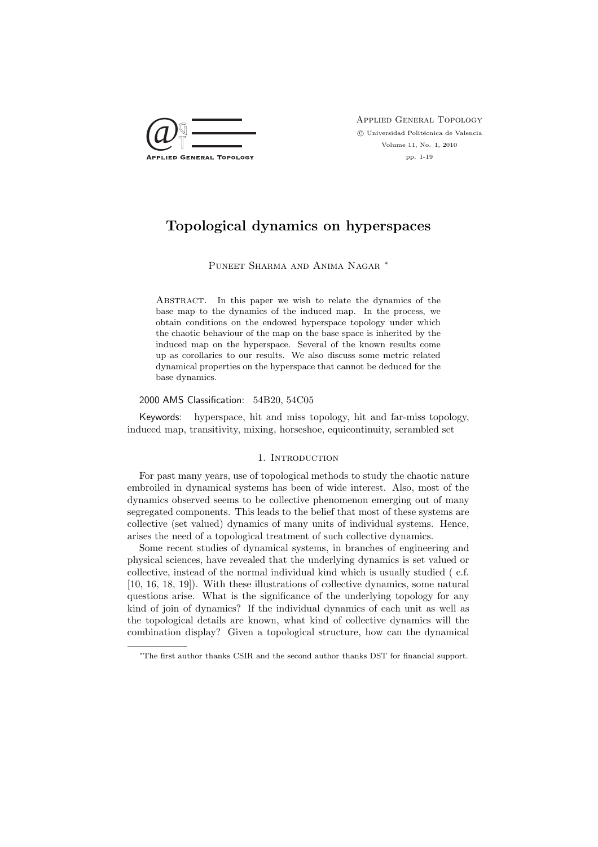

Applied General Topology  $\odot$  Universidad Politécnica de Valencia Volume 11, No. 1, 2010 pp. 1-19

# Topological dynamics on hyperspaces

Puneet Sharma and Anima Nagar ∗

ABSTRACT. In this paper we wish to relate the dynamics of the base map to the dynamics of the induced map. In the process, we obtain conditions on the endowed hyperspace topology under which the chaotic behaviour of the map on the base space is inherited by the induced map on the hyperspace. Several of the known results come up as corollaries to our results. We also discuss some metric related dynamical properties on the hyperspace that cannot be deduced for the base dynamics.

#### 2000 AMS Classification: 54B20, 54C05

Keywords: hyperspace, hit and miss topology, hit and far-miss topology, induced map, transitivity, mixing, horseshoe, equicontinuity, scrambled set

# 1. INTRODUCTION

For past many years, use of topological methods to study the chaotic nature embroiled in dynamical systems has been of wide interest. Also, most of the dynamics observed seems to be collective phenomenon emerging out of many segregated components. This leads to the belief that most of these systems are collective (set valued) dynamics of many units of individual systems. Hence, arises the need of a topological treatment of such collective dynamics.

Some recent studies of dynamical systems, in branches of engineering and physical sciences, have revealed that the underlying dynamics is set valued or collective, instead of the normal individual kind which is usually studied ( c.f. [10, 16, 18, 19]). With these illustrations of collective dynamics, some natural questions arise. What is the significance of the underlying topology for any kind of join of dynamics? If the individual dynamics of each unit as well as the topological details are known, what kind of collective dynamics will the combination display? Given a topological structure, how can the dynamical

<sup>∗</sup>The first author thanks CSIR and the second author thanks DST for financial support.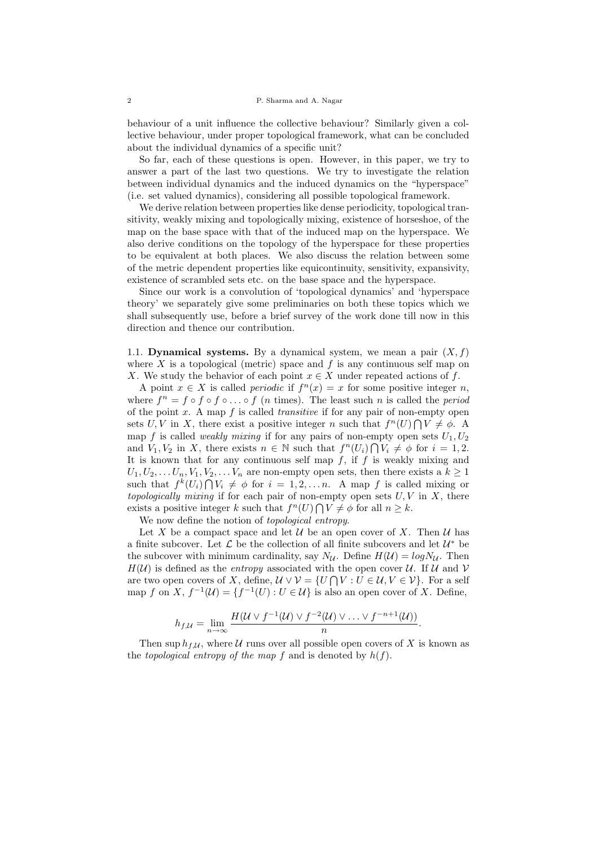behaviour of a unit influence the collective behaviour? Similarly given a collective behaviour, under proper topological framework, what can be concluded about the individual dynamics of a specific unit?

So far, each of these questions is open. However, in this paper, we try to answer a part of the last two questions. We try to investigate the relation between individual dynamics and the induced dynamics on the "hyperspace" (i.e. set valued dynamics), considering all possible topological framework.

We derive relation between properties like dense periodicity, topological transitivity, weakly mixing and topologically mixing, existence of horseshoe, of the map on the base space with that of the induced map on the hyperspace. We also derive conditions on the topology of the hyperspace for these properties to be equivalent at both places. We also discuss the relation between some of the metric dependent properties like equicontinuity, sensitivity, expansivity, existence of scrambled sets etc. on the base space and the hyperspace.

Since our work is a convolution of 'topological dynamics' and 'hyperspace theory' we separately give some preliminaries on both these topics which we shall subsequently use, before a brief survey of the work done till now in this direction and thence our contribution.

1.1. **Dynamical systems.** By a dynamical system, we mean a pair  $(X, f)$ where X is a topological (metric) space and  $f$  is any continuous self map on X. We study the behavior of each point  $x \in X$  under repeated actions of f.

A point  $x \in X$  is called *periodic* if  $f^{n}(x) = x$  for some positive integer *n*, where  $f^n = f \circ f \circ f \circ \ldots \circ f$  (*n* times). The least such *n* is called the *period* of the point  $x$ . A map  $f$  is called *transitive* if for any pair of non-empty open sets U, V in X, there exist a positive integer n such that  $f^{n}(U) \bigcap V \neq \emptyset$ . A map f is called *weakly mixing* if for any pairs of non-empty open sets  $U_1, U_2$ and  $V_1, V_2$  in X, there exists  $n \in \mathbb{N}$  such that  $f^n(U_i) \cap V_i \neq \emptyset$  for  $i = 1, 2$ . It is known that for any continuous self map  $f$ , if  $f$  is weakly mixing and  $U_1, U_2, \ldots, U_n, V_1, V_2, \ldots, V_n$  are non-empty open sets, then there exists a  $k \geq 1$ such that  $f^k(U_i) \bigcap V_i \neq \emptyset$  for  $i = 1, 2, \ldots n$ . A map f is called mixing or topologically mixing if for each pair of non-empty open sets  $U, V$  in X, there exists a positive integer k such that  $f^{n}(U) \bigcap V \neq \emptyset$  for all  $n \geq k$ .

We now define the notion of topological entropy.

Let X be a compact space and let U be an open cover of X. Then U has a finite subcover. Let  $\mathcal L$  be the collection of all finite subcovers and let  $\mathcal U^*$  be the subcover with minimum cardinality, say  $N_{\mathcal{U}}$ . Define  $H(\mathcal{U}) = log N_{\mathcal{U}}$ . Then  $H(\mathcal{U})$  is defined as the *entropy* associated with the open cover  $\mathcal{U}$ . If  $\mathcal{U}$  and  $\mathcal{V}$ are two open covers of X, define,  $\mathcal{U} \vee \mathcal{V} = \{U \cap V : U \in \mathcal{U}, V \in \mathcal{V}\}\.$  For a self map f on X,  $f^{-1}(\mathcal{U}) = \{f^{-1}(U) : U \in \mathcal{U}\}\$ is also an open cover of X. Define,

$$
h_{f,\mathcal{U}} = \lim_{n \to \infty} \frac{H(\mathcal{U} \vee f^{-1}(\mathcal{U}) \vee f^{-2}(\mathcal{U}) \vee \ldots \vee f^{-n+1}(\mathcal{U}))}{n}.
$$

Then sup  $h_{f,\mathcal{U}}$ , where  $\mathcal U$  runs over all possible open covers of X is known as the topological entropy of the map f and is denoted by  $h(f)$ .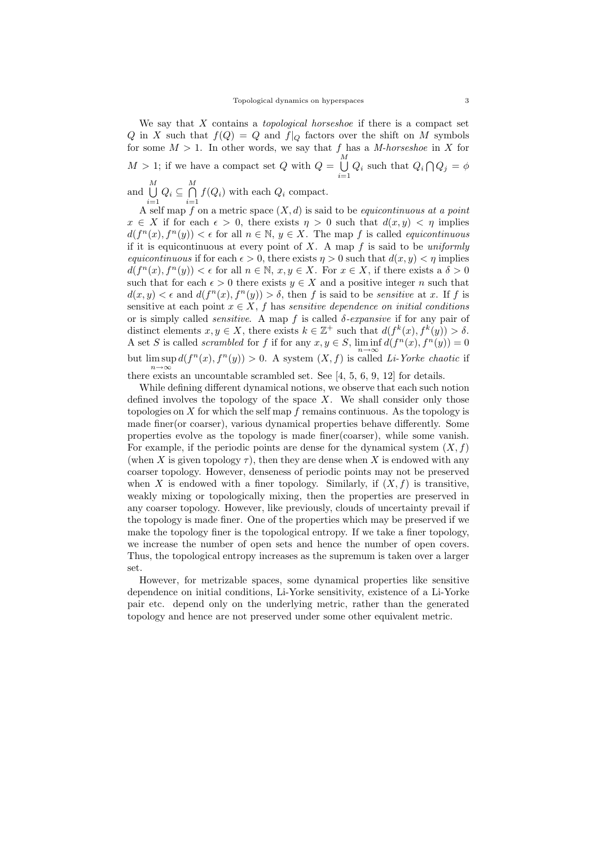We say that  $X$  contains a *topological horseshoe* if there is a compact set Q in X such that  $f(Q) = Q$  and  $f|_Q$  factors over the shift on M symbols for some  $M > 1$ . In other words, we say that f has a M-horseshoe in X for  $M > 1$ ; if we have a compact set Q with  $Q = \bigcup_{i=1}^{M}$  $\bigcup_{i=1} Q_i$  such that  $Q_i \bigcap Q_j = \phi$ and M S

 $\bigcup_{i=1}^M Q_i \subseteq \bigcap_{i=1}^M$  $\bigcap_{i=1} f(Q_i)$  with each  $Q_i$  compact.

A self map f on a metric space  $(X, d)$  is said to be *equicontinuous at a point*  $x \in X$  if for each  $\epsilon > 0$ , there exists  $\eta > 0$  such that  $d(x, y) < \eta$  implies  $d(f^{n}(x), f^{n}(y)) < \epsilon$  for all  $n \in \mathbb{N}, y \in X$ . The map f is called *equicontinuous* if it is equicontinuous at every point of  $X$ . A map  $f$  is said to be uniformly equicontinuous if for each  $\epsilon > 0$ , there exists  $\eta > 0$  such that  $d(x, y) < \eta$  implies  $d(f^{n}(x), f^{n}(y)) < \epsilon$  for all  $n \in \mathbb{N}$ ,  $x, y \in X$ . For  $x \in X$ , if there exists a  $\delta > 0$ such that for each  $\epsilon > 0$  there exists  $y \in X$  and a positive integer n such that  $d(x, y) < \epsilon$  and  $d(f^{n}(x), f^{n}(y)) > \delta$ , then f is said to be sensitive at x. If f is sensitive at each point  $x \in X$ , f has sensitive dependence on initial conditions or is simply called *sensitive*. A map f is called  $\delta$ -expansive if for any pair of distinct elements  $x, y \in X$ , there exists  $k \in \mathbb{Z}^+$  such that  $d(f^k(x), f^k(y)) > \delta$ . A set S is called scrambled for f if for any  $x, y \in S$ ,  $\liminf d(f^{n}(x), f^{n}(y)) = 0$ but  $\limsup_{n\to\infty} d(f^n(x), f^n(y)) > 0$ . A system  $(X, f)$  is called *Li-Yorke chaotic* if there exists an uncountable scrambled set. See [4, 5, 6, 9, 12] for details.

While defining different dynamical notions, we observe that each such notion defined involves the topology of the space  $X$ . We shall consider only those topologies on  $X$  for which the self map  $f$  remains continuous. As the topology is made finer(or coarser), various dynamical properties behave differently. Some properties evolve as the topology is made finer(coarser), while some vanish. For example, if the periodic points are dense for the dynamical system  $(X, f)$ (when X is given topology  $\tau$ ), then they are dense when X is endowed with any coarser topology. However, denseness of periodic points may not be preserved when X is endowed with a finer topology. Similarly, if  $(X, f)$  is transitive, weakly mixing or topologically mixing, then the properties are preserved in any coarser topology. However, like previously, clouds of uncertainty prevail if the topology is made finer. One of the properties which may be preserved if we make the topology finer is the topological entropy. If we take a finer topology, we increase the number of open sets and hence the number of open covers. Thus, the topological entropy increases as the supremum is taken over a larger set.

However, for metrizable spaces, some dynamical properties like sensitive dependence on initial conditions, Li-Yorke sensitivity, existence of a Li-Yorke pair etc. depend only on the underlying metric, rather than the generated topology and hence are not preserved under some other equivalent metric.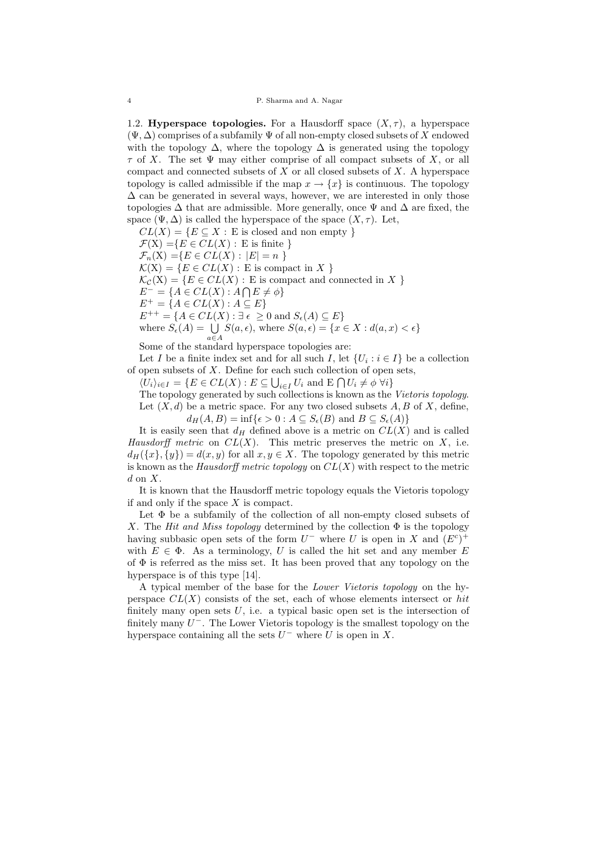1.2. **Hyperspace topologies.** For a Hausdorff space  $(X, \tau)$ , a hyperspace  $(\Psi, \Delta)$  comprises of a subfamily  $\Psi$  of all non-empty closed subsets of X endowed with the topology  $\Delta$ , where the topology  $\Delta$  is generated using the topology  $\tau$  of X. The set  $\Psi$  may either comprise of all compact subsets of X, or all compact and connected subsets of  $X$  or all closed subsets of  $X$ . A hyperspace topology is called admissible if the map  $x \to \{x\}$  is continuous. The topology  $\Delta$  can be generated in several ways, however, we are interested in only those topologies  $\Delta$  that are admissible. More generally, once  $\Psi$  and  $\Delta$  are fixed, the space  $(\Psi, \Delta)$  is called the hyperspace of the space  $(X, \tau)$ . Let,

 $CL(X) = \{E \subseteq X : E \text{ is closed and non empty }\}$ 

 $\mathcal{F}(X) = \{E \in CL(X) : E \text{ is finite }\}$ 

 $\mathcal{F}_n(X) = \{ E \in CL(X) : |E| = n \}$ 

 $\mathcal{K}(X) = \{E \in CL(X) : E \text{ is compact in } X\}$ 

 $\mathcal{K}_{\mathcal{C}}(X) = \{ E \in CL(X) : E \text{ is compact and connected in } X \}$ 

 $E^- = \{A \in CL(X) : A \bigcap E \neq \phi\}$ 

 $E^+ = \{A \in CL(X) : A \subseteq E\}$ 

 $E^{++} = \{A \in CL(X) : \exists \epsilon \geq 0 \text{ and } S_{\epsilon}(A) \subseteq E\}$ 

where 
$$
S_{\epsilon}(A) = \bigcup_{a \in A} S(a, \epsilon)
$$
, where  $S(a, \epsilon) = \{x \in X : d(a, x) < \epsilon\}$ 

Some of the standard hyperspace topologies are:

Let I be a finite index set and for all such I, let  $\{U_i : i \in I\}$  be a collection of open subsets of  $X$ . Define for each such collection of open sets,

 $\langle U_i \rangle_{i \in I} = \{ E \in CL(X) : E \subseteq \bigcup_{i \in I} U_i \text{ and } E \bigcap U_i \neq \emptyset \ \forall i \}$ 

The topology generated by such collections is known as the Vietoris topology. Let  $(X, d)$  be a metric space. For any two closed subsets  $A, B$  of  $X$ , define,  $d_H(A, B) = \inf\{\epsilon > 0 : A \subseteq S_{\epsilon}(B) \text{ and } B \subseteq S_{\epsilon}(A)\}\$ 

It is easily seen that  $d_H$  defined above is a metric on  $CL(X)$  and is called Hausdorff metric on  $CL(X)$ . This metric preserves the metric on X, i.e.  $d_H({x}, {y}) = d(x, y)$  for all  $x, y \in X$ . The topology generated by this metric is known as the Hausdorff metric topology on  $CL(X)$  with respect to the metric  $d$  on  $X$ .

It is known that the Hausdorff metric topology equals the Vietoris topology if and only if the space  $X$  is compact.

Let  $\Phi$  be a subfamily of the collection of all non-empty closed subsets of X. The Hit and Miss topology determined by the collection  $\Phi$  is the topology having subbasic open sets of the form  $U^-$  where U is open in X and  $(E^c)^+$ with  $E \in \Phi$ . As a terminology, U is called the hit set and any member E of  $\Phi$  is referred as the miss set. It has been proved that any topology on the hyperspace is of this type [14].

A typical member of the base for the Lower Vietoris topology on the hyperspace  $CL(X)$  consists of the set, each of whose elements intersect or hit finitely many open sets  $U$ , i.e. a typical basic open set is the intersection of finitely many  $U^-$ . The Lower Vietoris topology is the smallest topology on the hyperspace containing all the sets  $U^-$  where U is open in X.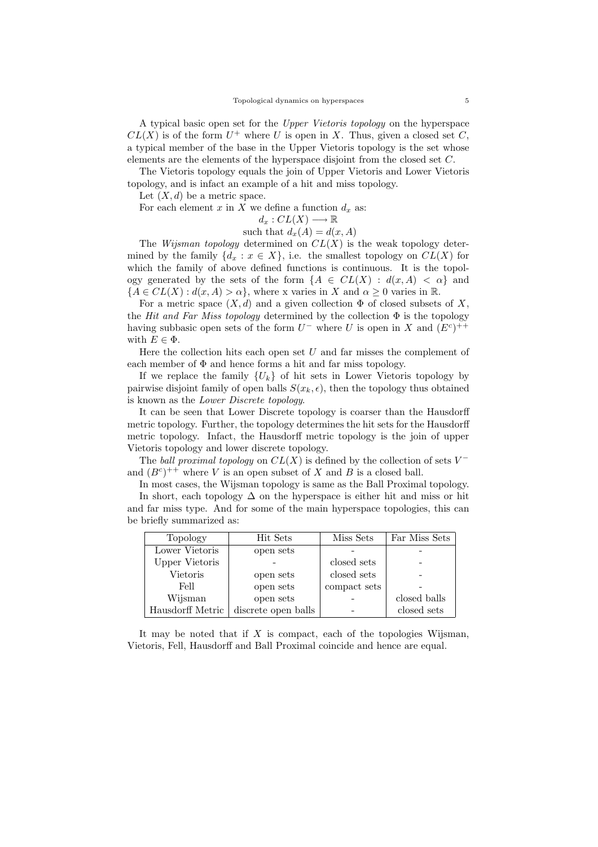A typical basic open set for the Upper Vietoris topology on the hyperspace  $CL(X)$  is of the form  $U^+$  where U is open in X. Thus, given a closed set C, a typical member of the base in the Upper Vietoris topology is the set whose elements are the elements of the hyperspace disjoint from the closed set C.

The Vietoris topology equals the join of Upper Vietoris and Lower Vietoris topology, and is infact an example of a hit and miss topology.

Let  $(X, d)$  be a metric space.

For each element x in X we define a function  $d_x$  as:

$$
d_x:CL(X)\longrightarrow \mathbb{R}
$$

such that 
$$
d_x(A) = d(x, A)
$$

The *Wijsman topology* determined on  $CL(X)$  is the weak topology determined by the family  ${d_x : x \in X}$ , i.e. the smallest topology on  $CL(X)$  for which the family of above defined functions is continuous. It is the topology generated by the sets of the form  $\{A \in CL(X) : d(x, A) < \alpha\}$  and  ${A \in CL(X) : d(x, A) > \alpha}$ , where x varies in X and  $\alpha > 0$  varies in R.

For a metric space  $(X, d)$  and a given collection  $\Phi$  of closed subsets of X, the Hit and Far Miss topology determined by the collection  $\Phi$  is the topology having subbasic open sets of the form  $U^-$  where U is open in X and  $(E^c)^{++}$ with  $E \in \Phi$ .

Here the collection hits each open set  $U$  and far misses the complement of each member of  $\Phi$  and hence forms a hit and far miss topology.

If we replace the family  ${U_k}$  of hit sets in Lower Vietoris topology by pairwise disjoint family of open balls  $S(x_k, \epsilon)$ , then the topology thus obtained is known as the Lower Discrete topology.

It can be seen that Lower Discrete topology is coarser than the Hausdorff metric topology. Further, the topology determines the hit sets for the Hausdorff metric topology. Infact, the Hausdorff metric topology is the join of upper Vietoris topology and lower discrete topology.

The *ball proximal topology* on  $CL(X)$  is defined by the collection of sets  $V^$ and  $(B^c)^{++}$  where V is an open subset of X and B is a closed ball.

In most cases, the Wijsman topology is same as the Ball Proximal topology. In short, each topology  $\Delta$  on the hyperspace is either hit and miss or hit and far miss type. And for some of the main hyperspace topologies, this can be briefly summarized as:

| Topology              | Hit Sets            | Miss Sets    | Far Miss Sets |
|-----------------------|---------------------|--------------|---------------|
| Lower Vietoris        | open sets           |              |               |
| <b>Upper Vietoris</b> |                     | closed sets  |               |
| Vietoris              | open sets           | closed sets  |               |
| Fell                  | open sets           | compact sets |               |
| Wijsman               | open sets           |              | closed balls  |
| Hausdorff Metric      | discrete open balls |              | closed sets   |

It may be noted that if  $X$  is compact, each of the topologies Wijsman, Vietoris, Fell, Hausdorff and Ball Proximal coincide and hence are equal.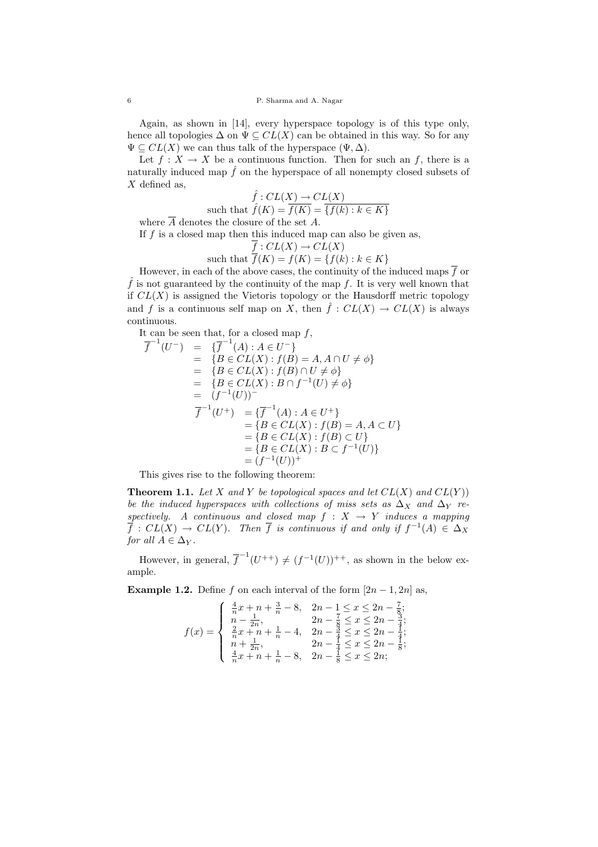Again, as shown in [14], every hyperspace topology is of this type only, hence all topologies  $\Delta$  on  $\Psi \subseteq CL(X)$  can be obtained in this way. So for any  $\Psi \subseteq CL(X)$  we can thus talk of the hyperspace  $(\Psi, \Delta)$ .

Let  $f: X \to X$  be a continuous function. Then for such an f, there is a naturally induced map  $\hat{f}$  on the hyperspace of all nonempty closed subsets of  $X$  defined as,

$$
\hat{f}: CL(X) \to CL(X)
$$
  
such that 
$$
\hat{f}(K) = \overline{f(K)} = \overline{\{f(k) : k \in K\}}
$$

where  $\overline{A}$  denotes the closure of the set A.

If  $f$  is a closed map then this induced map can also be given as,

$$
\frac{\overline{f}: CL(X) \to CL(X)}{\overline{f}(K) = f(K) = \{f(k) : k \in K\}}
$$

However, in each of the above cases, the continuity of the induced maps  $\overline{f}$  or  $\hat{f}$  is not guaranteed by the continuity of the map f. It is very well known that if  $CL(X)$  is assigned the Vietoris topology or the Hausdorff metric topology and f is a continuous self map on X, then  $\hat{f}: CL(X) \to CL(X)$  is always continuous.

It can be seen that, for a closed map  $f$ ,

$$
\begin{array}{rcl}\n\overline{f}^{-1}(U^-) & = & \{\overline{f}^{-1}(A) : A \in U^-\} \\
& = & \{B \in CL(X) : f(B) = A, A \cap U \neq \phi\} \\
& = & \{B \in CL(X) : f(B) \cap U \neq \phi\} \\
& = & \{B \in CL(X) : B \cap f^{-1}(U) \neq \phi\} \\
& = & (f^{-1}(U))^- \\
\overline{f}^{-1}(U^+) & = & \{\overline{f}^{-1}(A) : A \in U^+\} \\
& = & \{B \in CL(X) : f(B) = A, A \subset U\} \\
& = & \{B \in CL(X) : f(B) \subset U\} \\
& = & \{B \in CL(X) : B \subset f^{-1}(U)\} \\
& = & (f^{-1}(U))^+\n\end{array}
$$

This gives rise to the following theorem:

**Theorem 1.1.** Let X and Y be topological spaces and let  $CL(X)$  and  $CL(Y)$ ) be the induced hyperspaces with collections of miss sets as  $\Delta_X$  and  $\Delta_Y$  respectively. A continuous and closed map  $f : X \rightarrow Y$  induces a mapping  $\overline{f}: CL(X) \to CL(Y)$ . Then  $\overline{f}$  is continuous if and only if  $f^{-1}(A) \in \Delta_X$ for all  $A \in \Delta_Y$ .

However, in general,  $\overline{f}^{-1}(U^{++}) \neq (f^{-1}(U))^{++}$ , as shown in the below example.

**Example 1.2.** Define f on each interval of the form  $[2n - 1, 2n]$  as,

$$
f(x) = \begin{cases} \frac{4}{n}x + n + \frac{3}{n} - 8, & 2n - 1 \le x \le 2n - \frac{7}{8};\\ n - \frac{1}{2n}, & 2n - \frac{7}{8} \le x \le 2n - \frac{3}{4};\\ \frac{2}{n}x + n + \frac{1}{n} - 4, & 2n - \frac{3}{4} \le x \le 2n - \frac{1}{4};\\ n + \frac{1}{2n}, & 2n - \frac{1}{4} \le x \le 2n - \frac{1}{8};\\ \frac{4}{n}x + n + \frac{1}{n} - 8, & 2n - \frac{1}{8} \le x \le 2n;\end{cases}
$$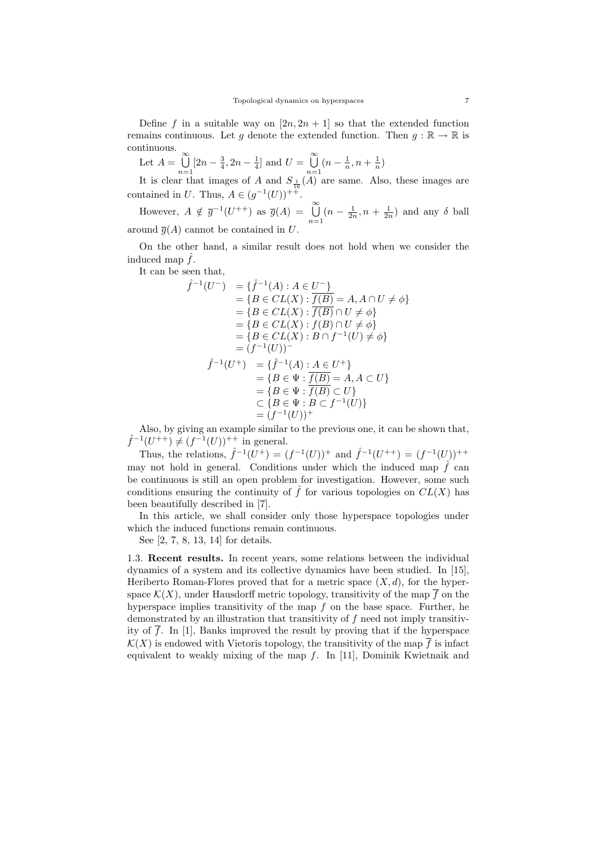Define f in a suitable way on  $[2n, 2n + 1]$  so that the extended function remains continuous. Let g denote the extended function. Then  $g : \mathbb{R} \to \mathbb{R}$  is continuous.

Let 
$$
A = \bigcup_{n=1}^{\infty} [2n - \frac{3}{4}, 2n - \frac{1}{4}]
$$
 and  $U = \bigcup_{n=1}^{\infty} (n - \frac{1}{n}, n + \frac{1}{n})$   
It is also that inverse of A and S. (A) we can use A

It is clear that images of A and  $S_{\frac{1}{2}}(A)$  are same. Also, these images are contained in U. Thus,  $A \in (g^{-1}(U))$ <sup>+ $+$ </sup>.

However,  $A \notin \overline{g}^{-1}(U^{++})$  as  $\overline{g}(A) = \bigcup_{n=1}^{\infty} (n - \frac{1}{2n}, n + \frac{1}{2n})$  and any  $\delta$  ball around  $\overline{g}(A)$  cannot be contained in U.

On the other hand, a similar result does not hold when we consider the induced map  $\tilde{f}$ .

It can be seen that,

$$
\hat{f}^{-1}(U^{-}) = \{\hat{f}^{-1}(A) : A \in U^{-}\}\
$$
  
\n
$$
= \{B \in CL(X) : \frac{f(B)}{f(B)} = A, A \cap U \neq \phi\}\
$$
  
\n
$$
= \{B \in CL(X) : \hat{f}(B) \cap U \neq \phi\}\
$$
  
\n
$$
= \{B \in CL(X) : f(B) \cap U \neq \phi\}\
$$
  
\n
$$
= \{B \in CL(X) : B \cap f^{-1}(U) \neq \phi\}\
$$
  
\n
$$
= (f^{-1}(U))^{-}
$$
  
\n
$$
\hat{f}^{-1}(U^{+}) = \{\hat{f}^{-1}(A) : A \in U^{+}\}\
$$
  
\n
$$
= \{B \in \Psi : \hat{f}(B) = A, A \subset U\}\
$$
  
\n
$$
= \{B \in \Psi : \hat{f}(B) \subset U\}\
$$
  
\n
$$
\subset \{B \in \Psi : B \subset f^{-1}(U)\}\
$$
  
\n
$$
= (f^{-1}(U))^{+}
$$

Also, by giving an example similar to the previous one, it can be shown that,  $\hat{f}^{-1}(U^{++}) \neq (f^{-1}(U))^{++}$  in general.

Thus, the relations,  $\hat{f}^{-1}(U^+) = (f^{-1}(U))^+$  and  $\hat{f}^{-1}(U^{++}) = (f^{-1}(U))^+$ may not hold in general. Conditions under which the induced map  $\hat{f}$  can be continuous is still an open problem for investigation. However, some such conditions ensuring the continuity of  $\hat{f}$  for various topologies on  $CL(X)$  has been beautifully described in [7].

In this article, we shall consider only those hyperspace topologies under which the induced functions remain continuous.

See [2, 7, 8, 13, 14] for details.

1.3. Recent results. In recent years, some relations between the individual dynamics of a system and its collective dynamics have been studied. In [15], Heriberto Roman-Flores proved that for a metric space  $(X, d)$ , for the hyperspace  $\mathcal{K}(X)$ , under Hausdorff metric topology, transitivity of the map  $\overline{f}$  on the hyperspace implies transitivity of the map  $f$  on the base space. Further, he demonstrated by an illustration that transitivity of f need not imply transitivity of f. In [1], Banks improved the result by proving that if the hyperspace  $\mathcal{K}(X)$  is endowed with Vietoris topology, the transitivity of the map  $\overline{f}$  is infact equivalent to weakly mixing of the map  $f$ . In [11], Dominik Kwietnaik and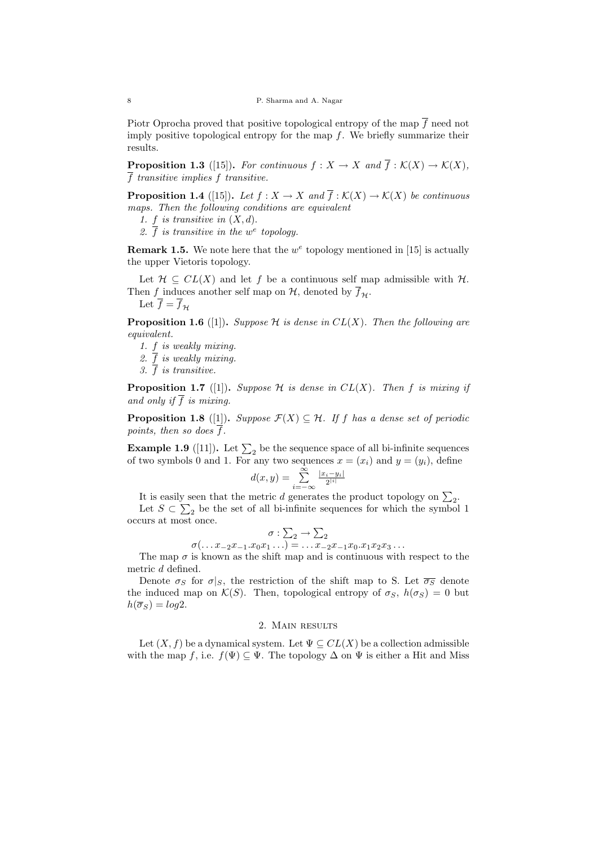Piotr Oprocha proved that positive topological entropy of the map  $\overline{f}$  need not imply positive topological entropy for the map  $f$ . We briefly summarize their results.

**Proposition 1.3** ([15]). For continuous  $f: X \to X$  and  $\overline{f}: \mathcal{K}(X) \to \mathcal{K}(X)$ ,  $\overline{f}$  transitive implies f transitive.

**Proposition 1.4** ([15]). Let  $f : X \to X$  and  $\overline{f} : \mathcal{K}(X) \to \mathcal{K}(X)$  be continuous maps. Then the following conditions are equivalent

- 1.  $f$  is transitive in  $(X, d)$ .
- 2.  $\overline{f}$  is transitive in the w<sup>e</sup> topology.

**Remark 1.5.** We note here that the  $w^e$  topology mentioned in [15] is actually the upper Vietoris topology.

Let  $\mathcal{H} \subseteq CL(X)$  and let f be a continuous self map admissible with  $\mathcal{H}$ . Then f induces another self map on  $\mathcal{H}$ , denoted by  $\overline{f}_{\mathcal{H}}$ . Let  $\overline{f} = \overline{f}_{\mathcal{H}}$ 

**Proposition 1.6** ([1]). Suppose H is dense in  $CL(X)$ . Then the following are equivalent.

1. f is weakly mixing.

2.  $\overline{f}$  is weakly mixing.

3.  $\overline{f}$  is transitive.

**Proposition 1.7** ([1]). Suppose H is dense in  $CL(X)$ . Then f is mixing if and only if  $\overline{f}$  is mixing.

**Proposition 1.8** ([1]). Suppose  $\mathcal{F}(X) \subseteq \mathcal{H}$ . If f has a dense set of periodic points, then so does  $\overline{f}$ .

**Example 1.9** ([11]). Let  $\sum_2$  be the sequence space of all bi-infinite sequences of two symbols 0 and 1. For any two sequences  $x = (x_i)$  and  $y = (y_i)$ , define

$$
d(x,y) = \sum_{i=-\infty}^{\infty} \frac{|x_i - y_i|}{2^{|i|}}
$$

It is easily seen that the metric *d* generates the product topology on  $\Sigma_2$ . Let  $S \subset \sum_2$  be the set of all bi-infinite sequences for which the symbol 1 occurs at most once.

$$
\sigma : \sum_{2} \to \sum_{2}
$$

$$
\sigma(\ldots x_{-2}x_{-1}.x_{0}x_{1}\ldots) = \ldots x_{-2}x_{-1}x_{0}.x_{1}x_{2}x_{3}\ldots
$$

The map  $\sigma$  is known as the shift map and is continuous with respect to the metric d defined.

Denote  $\sigma_S$  for  $\sigma|_S$ , the restriction of the shift map to S. Let  $\overline{\sigma_S}$  denote the induced map on  $\mathcal{K}(S)$ . Then, topological entropy of  $\sigma_S$ ,  $h(\sigma_S) = 0$  but  $h(\overline{\sigma}_S) = \log 2.$ 

# 2. Main results

Let  $(X, f)$  be a dynamical system. Let  $\Psi \subseteq CL(X)$  be a collection admissible with the map f, i.e.  $f(\Psi) \subseteq \Psi$ . The topology  $\Delta$  on  $\Psi$  is either a Hit and Miss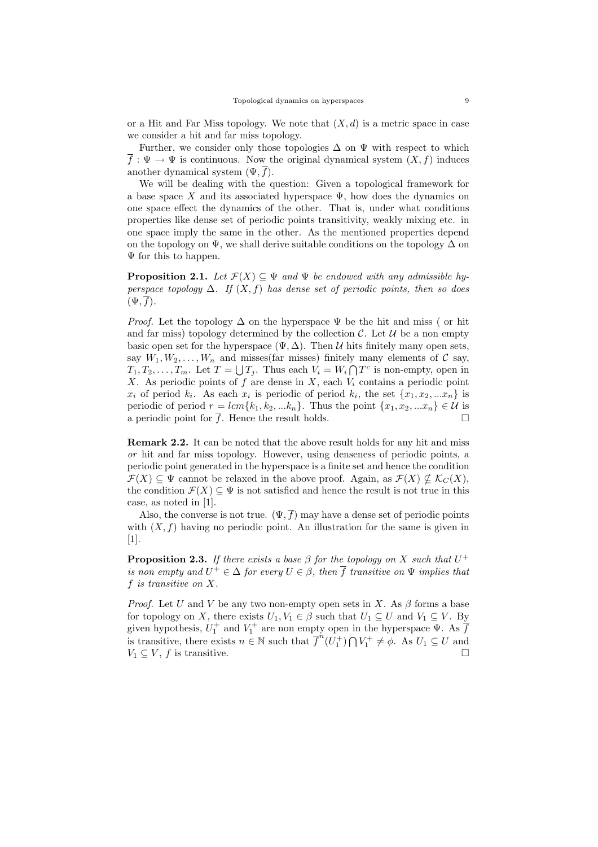or a Hit and Far Miss topology. We note that  $(X, d)$  is a metric space in case we consider a hit and far miss topology.

Further, we consider only those topologies  $\Delta$  on  $\Psi$  with respect to which  $\overline{f}$ :  $\Psi \to \Psi$  is continuous. Now the original dynamical system  $(X, f)$  induces another dynamical system  $(\Psi, \overline{f})$ .

We will be dealing with the question: Given a topological framework for a base space X and its associated hyperspace  $\Psi$ , how does the dynamics on one space effect the dynamics of the other. That is, under what conditions properties like dense set of periodic points transitivity, weakly mixing etc. in one space imply the same in the other. As the mentioned properties depend on the topology on  $\Psi$ , we shall derive suitable conditions on the topology  $\Delta$  on Ψ for this to happen.

**Proposition 2.1.** Let  $\mathcal{F}(X) \subseteq \Psi$  and  $\Psi$  be endowed with any admissible hyperspace topology  $\Delta$ . If  $(X, f)$  has dense set of periodic points, then so does  $(\Psi, \overline{f}).$ 

*Proof.* Let the topology  $\Delta$  on the hyperspace  $\Psi$  be the hit and miss (or hit and far miss) topology determined by the collection  $\mathcal{C}$ . Let  $\mathcal{U}$  be a non empty basic open set for the hyperspace  $(\Psi, \Delta)$ . Then U hits finitely many open sets, say  $W_1, W_2, \ldots, W_n$  and misses(far misses) finitely many elements of C say,  $T_1, T_2, \ldots, T_m$ . Let  $T = \bigcup T_j$ . Thus each  $V_i = W_i \bigcap T^c$  is non-empty, open in X. As periodic points of f are dense in  $X$ , each  $V_i$  contains a periodic point  $x_i$  of period  $k_i$ . As each  $x_i$  is periodic of period  $k_i$ , the set  $\{x_1, x_2, ... x_n\}$  is periodic of period  $r = lcm{k_1, k_2, ... k_n}$ . Thus the point  $\{x_1, x_2, ... x_n\} \in \mathcal{U}$  is a periodic point for  $\overline{f}$ . Hence the result holds.

Remark 2.2. It can be noted that the above result holds for any hit and miss or hit and far miss topology. However, using denseness of periodic points, a periodic point generated in the hyperspace is a finite set and hence the condition  $\mathcal{F}(X) \subseteq \Psi$  cannot be relaxed in the above proof. Again, as  $\mathcal{F}(X) \nsubseteq \mathcal{K}_C(X)$ , the condition  $\mathcal{F}(X) \subseteq \Psi$  is not satisfied and hence the result is not true in this case, as noted in [1].

Also, the converse is not true.  $(\Psi, \overline{f})$  may have a dense set of periodic points with  $(X, f)$  having no periodic point. An illustration for the same is given in [1].

**Proposition 2.3.** If there exists a base  $\beta$  for the topology on X such that  $U^+$ is non empty and  $U^+ \in \Delta$  for every  $U \in \beta$ , then  $\overline{f}$  transitive on  $\Psi$  implies that f is transitive on X.

*Proof.* Let U and V be any two non-empty open sets in X. As  $\beta$  forms a base for topology on X, there exists  $U_1, V_1 \in \beta$  such that  $U_1 \subseteq U$  and  $V_1 \subseteq V$ . By given hypothesis,  $U_1^+$  and  $V_1^+$  are non empty open in the hyperspace  $\Psi$ . As  $\overline{f}$ is transitive, there exists  $n \in \mathbb{N}$  such that  $\overline{f}^n(U_1^+) \cap V_1^+ \neq \emptyset$ . As  $U_1 \subseteq U$  and  $V_1 \subseteq V, f$  is transitive.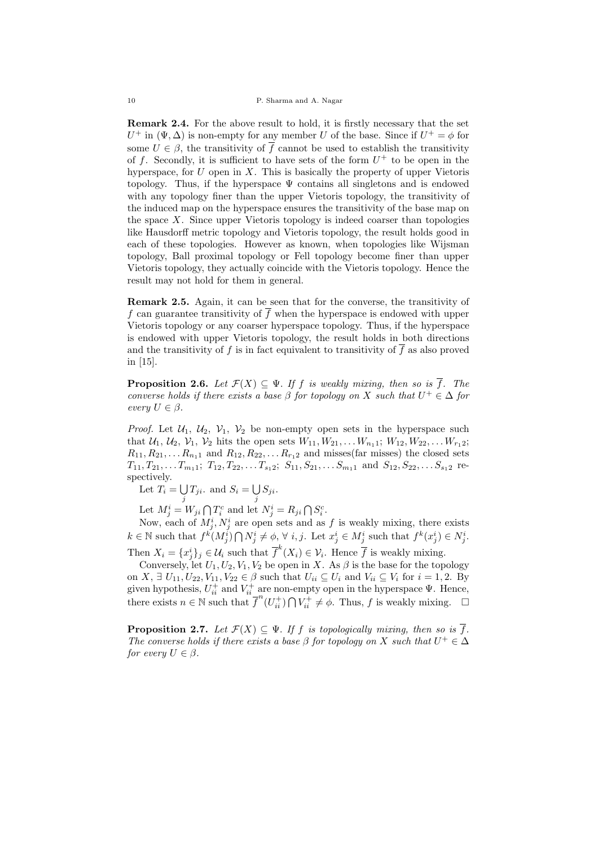Remark 2.4. For the above result to hold, it is firstly necessary that the set  $U^+$  in  $(\Psi, \Delta)$  is non-empty for any member U of the base. Since if  $U^+ = \phi$  for some  $U \in \beta$ , the transitivity of  $\overline{f}$  cannot be used to establish the transitivity of f. Secondly, it is sufficient to have sets of the form  $U^+$  to be open in the hyperspace, for  $U$  open in  $X$ . This is basically the property of upper Vietoris topology. Thus, if the hyperspace  $\Psi$  contains all singletons and is endowed with any topology finer than the upper Vietoris topology, the transitivity of the induced map on the hyperspace ensures the transitivity of the base map on the space  $X$ . Since upper Vietoris topology is indeed coarser than topologies like Hausdorff metric topology and Vietoris topology, the result holds good in each of these topologies. However as known, when topologies like Wijsman topology, Ball proximal topology or Fell topology become finer than upper Vietoris topology, they actually coincide with the Vietoris topology. Hence the result may not hold for them in general.

Remark 2.5. Again, it can be seen that for the converse, the transitivity of f can guarantee transitivity of  $\overline{f}$  when the hyperspace is endowed with upper Vietoris topology or any coarser hyperspace topology. Thus, if the hyperspace is endowed with upper Vietoris topology, the result holds in both directions and the transitivity of f is in fact equivalent to transitivity of  $\overline{f}$  as also proved in [15].

**Proposition 2.6.** Let  $\mathcal{F}(X) \subseteq \Psi$ . If f is weakly mixing, then so is  $\overline{f}$ . The converse holds if there exists a base  $\beta$  for topology on X such that  $U^+ \in \Delta$  for every  $U \in \beta$ .

*Proof.* Let  $U_1$ ,  $U_2$ ,  $V_1$ ,  $V_2$  be non-empty open sets in the hyperspace such that  $U_1, U_2, V_1, V_2$  hits the open sets  $W_{11}, W_{21}, \ldots W_{n_11}; W_{12}, W_{22}, \ldots W_{r_12};$  $R_{11}, R_{21}, \ldots R_{n_11}$  and  $R_{12}, R_{22}, \ldots R_{r_12}$  and misses(far misses) the closed sets  $T_{11}, T_{21}, \ldots T_{m_1 1}; T_{12}, T_{22}, \ldots T_{s_1 2}; S_{11}, S_{21}, \ldots S_{m_1 1}$  and  $S_{12}, S_{22}, \ldots S_{s_1 2}$  respectively.

Let  $T_i = \bigcup$  $\bigcup_j T_{ji}$ . and  $S_i = \bigcup_j$ ل S $_{ji}$ .

Let  $M_j^i = W_{ji} \bigcap T_i^c$  and let  $N_j^i = R_{ji} \bigcap S_i^c$ .

Now, each of  $M_j^i, N_j^i$  are open sets and as f is weakly mixing, there exists  $k \in \mathbb{N}$  such that  $f^k(M_j^i) \bigcap N_j^i \neq \emptyset$ ,  $\forall i, j$ . Let  $x_j^i \in M_j^i$  such that  $f^k(x_j^i) \in N_j^i$ . Then  $X_i = \{x_j^i\}_j \in \mathcal{U}_i$  such that  $\overline{f}^k(X_i) \in \mathcal{V}_i$ . Hence  $\overline{f}$  is weakly mixing.

Conversely, let  $U_1, U_2, V_1, V_2$  be open in X. As  $\beta$  is the base for the topology on  $X, \exists U_{11}, U_{22}, V_{11}, V_{22} \in \beta$  such that  $U_{ii} \subseteq U_i$  and  $V_{ii} \subseteq V_i$  for  $i = 1, 2$ . By given hypothesis,  $U_{ii}^+$  and  $V_{ii}^+$  are non-empty open in the hyperspace  $\Psi$ . Hence, there exists  $n \in \mathbb{N}$  such that  $\overline{f}^n(U_{ii}^+) \cap V_{ii}^+ \neq \emptyset$ . Thus, f is weakly mixing.  $\Box$ 

**Proposition 2.7.** Let  $\mathcal{F}(X) \subseteq \Psi$ . If f is topologically mixing, then so is  $\overline{f}$ . The converse holds if there exists a base  $\beta$  for topology on X such that  $U^+ \in \Delta$ for every  $U \in \beta$ .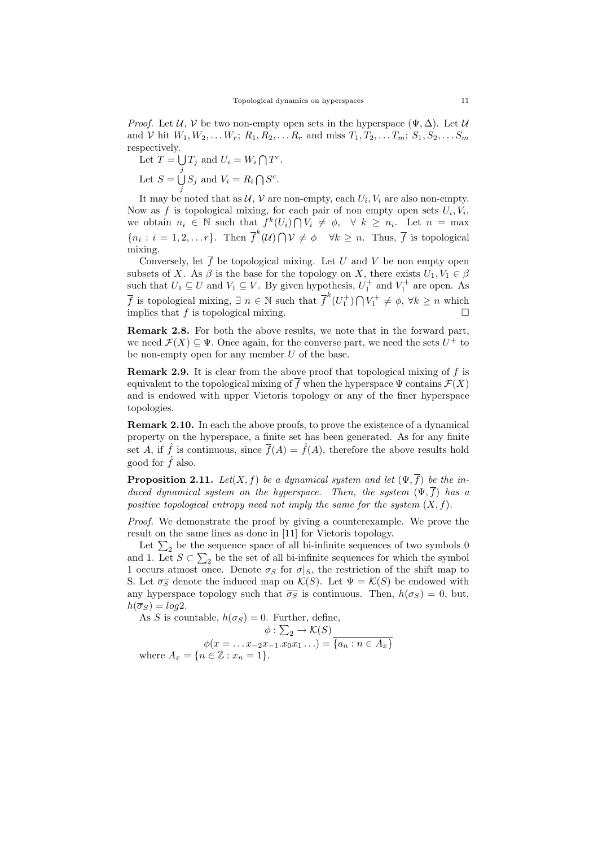*Proof.* Let  $U, V$  be two non-empty open sets in the hyperspace  $(\Psi, \Delta)$ . Let  $U$ and V hit  $W_1, W_2, \ldots W_r; R_1, R_2, \ldots R_r$  and miss  $T_1, T_2, \ldots T_m; S_1, S_2, \ldots S_m$ respectively.

Let  $T = \bigcup T_j$  and  $U_i = W_i \bigcap T^c$ . j Let  $S = \bigcup$  $\bigcup_j S_j$  and  $V_i = R_i \bigcap S^c$ .

It may be noted that as  $\mathcal{U}, \mathcal{V}$  are non-empty, each  $U_i, V_i$  are also non-empty. Now as f is topological mixing, for each pair of non empty open sets  $U_i, V_i$ , we obtain  $n_i \in \mathbb{N}$  such that  $f^k(U_i) \cap V_i \neq \emptyset$ ,  $\forall k \geq n_i$ . Let  $n = \max$  ${n_i : i = 1, 2, \ldots r}$ . Then  $\overline{f}^k(\mathcal{U}) \cap \mathcal{V} \neq \emptyset$   $\forall k \geq n$ . Thus,  $\overline{f}$  is topological mixing.

Conversely, let  $\overline{f}$  be topological mixing. Let U and V be non empty open subsets of X. As  $\beta$  is the base for the topology on X, there exists  $U_1, V_1 \in \beta$ such that  $U_1 \subseteq U$  and  $V_1 \subseteq V$ . By given hypothesis,  $U_1^+$  and  $V_1^+$  are open. As  $\overline{f}$  is topological mixing,  $\exists n \in \mathbb{N}$  such that  $\overline{f}^k(U_1^+) \cap V_1^+ \neq \emptyset$ ,  $\forall k \geq n$  which implies that f is topological mixing.  $\square$ 

Remark 2.8. For both the above results, we note that in the forward part, we need  $\mathcal{F}(X) \subseteq \Psi$ . Once again, for the converse part, we need the sets  $U^+$  to be non-empty open for any member  $U$  of the base.

Remark 2.9. It is clear from the above proof that topological mixing of f is equivalent to the topological mixing of  $\overline{f}$  when the hyperspace  $\Psi$  contains  $\mathcal{F}(X)$ and is endowed with upper Vietoris topology or any of the finer hyperspace topologies.

Remark 2.10. In each the above proofs, to prove the existence of a dynamical property on the hyperspace, a finite set has been generated. As for any finite set A, if  $\hat{f}$  is continuous, since  $\overline{f}(A) = \hat{f}(A)$ , therefore the above results hold good for  $\hat{f}$  also.

**Proposition 2.11.** Let $(X, f)$  be a dynamical system and let  $(\Psi, \overline{f})$  be the induced dynamical system on the hyperspace. Then, the system  $(\Psi, \overline{f})$  has a positive topological entropy need not imply the same for the system  $(X, f)$ .

Proof. We demonstrate the proof by giving a counterexample. We prove the result on the same lines as done in [11] for Vietoris topology.

Let  $\Sigma_2$  be the sequence space of all bi-infinite sequences of two symbols 0 and 1. Let  $S \subset \sum_2$  be the set of all bi-infinite sequences for which the symbol 1 occurs atmost once. Denote  $\sigma_S$  for  $\sigma|_S$ , the restriction of the shift map to S. Let  $\overline{\sigma_S}$  denote the induced map on  $\mathcal{K}(S)$ . Let  $\Psi = \mathcal{K}(S)$  be endowed with any hyperspace topology such that  $\overline{\sigma_S}$  is continuous. Then,  $h(\sigma_S) = 0$ , but,  $h(\overline{\sigma}_S) = log2.$ 

As S is countable,  $h(\sigma_S) = 0$ . Further, define,  $\phi : \sum_2 \to \mathcal{K}(S)$  $\phi(x = \ldots x_{-2}x_{-1}.x_0x_1 \ldots) = \{a_n : n \in A_x\}$ where  $A_x = \{n \in \mathbb{Z} : x_n = 1\}.$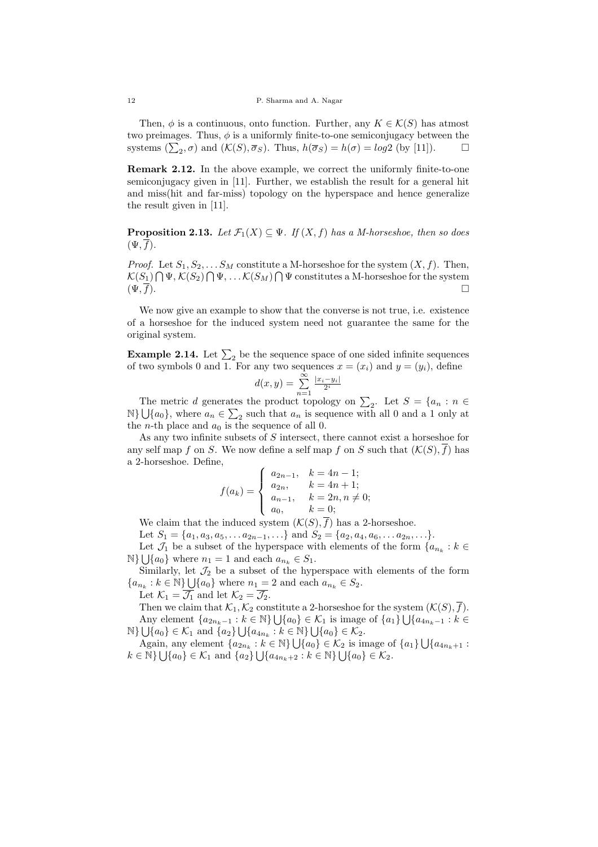Then,  $\phi$  is a continuous, onto function. Further, any  $K \in \mathcal{K}(S)$  has atmost two preimages. Thus,  $\phi$  is a uniformly finite-to-one semiconjugacy between the systems  $(\sum_2, \sigma)$  and  $(\mathcal{K}(S), \overline{\sigma}_S)$ . Thus,  $h(\overline{\sigma}_S) = h(\sigma) = log2$  (by [11]).

Remark 2.12. In the above example, we correct the uniformly finite-to-one semiconjugacy given in [11]. Further, we establish the result for a general hit and miss(hit and far-miss) topology on the hyperspace and hence generalize the result given in [11].

**Proposition 2.13.** Let  $\mathcal{F}_1(X) \subseteq \Psi$ . If  $(X, f)$  has a M-horseshoe, then so does  $(\Psi, f)$ .

*Proof.* Let  $S_1, S_2, \ldots S_M$  constitute a M-horseshoe for the system  $(X, f)$ . Then,  $\mathcal{K}(S_1) \bigcap \Psi$ ,  $\mathcal{K}(S_2) \bigcap \Psi$ , ...  $\mathcal{K}(S_M) \bigcap \Psi$  constitutes a M-horseshoe for the system  $(\Psi, \overline{f}).$ 

We now give an example to show that the converse is not true, i.e. existence of a horseshoe for the induced system need not guarantee the same for the original system.

**Example 2.14.** Let  $\Sigma_2$  be the sequence space of one sided infinite sequences of two symbols 0 and 1. For any two sequences  $x = (x_i)$  and  $y = (y_i)$ , define

$$
d(x,y) = \sum_{n=1}^{\infty} \frac{|x_i - y_i|}{2^i}
$$

The metric d generates the product topology on  $\sum_2$ . Let  $S = \{a_n : n \in \mathbb{R}\}$  $\mathbb{N}\}\bigcup\{a_0\}$ , where  $a_n \in \sum_2$  such that  $a_n$  is sequence with all 0 and a 1 only at the *n*-th place and  $a_0$  is the sequence of all 0.

As any two infinite subsets of S intersect, there cannot exist a horseshoe for any self map f on S. We now define a self map f on S such that  $(\mathcal{K}(S), \overline{f})$  has a 2-horseshoe. Define,

$$
f(a_k) = \begin{cases} a_{2n-1}, & k = 4n - 1; \\ a_{2n}, & k = 4n + 1; \\ a_{n-1}, & k = 2n, n \neq 0; \\ a_0, & k = 0; \end{cases}
$$

We claim that the induced system  $(\mathcal{K}(S), \overline{f})$  has a 2-horseshoe.

Let  $S_1 = \{a_1, a_3, a_5, \ldots a_{2n-1}, \ldots\}$  and  $S_2 = \{a_2, a_4, a_6, \ldots a_{2n}, \ldots\}$ .

Let  $\mathcal{J}_1$  be a subset of the hyperspace with elements of the form  $\{a_{n_k}: k \in$  $\mathbb{N}\}\bigcup\{a_0\}$  where  $n_1 = 1$  and each  $a_{n_k} \in S_1$ .

Similarly, let  $\mathcal{J}_2$  be a subset of the hyperspace with elements of the form  ${a_{n_k} : k \in \mathbb{N}} \bigcup {a_0}$  where  $n_1 = 2$  and each  $a_{n_k} \in S_2$ .

Let  $\mathcal{K}_1 = \overline{\mathcal{J}_1}$  and let  $\mathcal{K}_2 = \overline{\mathcal{J}_2}$ .

Then we claim that  $\mathcal{K}_1, \mathcal{K}_2$  constitute a 2-horseshoe for the system  $(\mathcal{K}(S), \overline{f}).$ Any element  $\{a_{2n_k-1} : k \in \mathbb{N}\}\bigcup \{a_0\} \in \mathcal{K}_1$  is image of  $\{a_1\}\bigcup \{a_{4n_k-1} : k \in \mathbb{N}\}\bigcup \{a_{4n_k-1} : k \in \mathbb{N}\}\bigcup \{a_0\}$  $\mathbb{N}\}\bigcup\{a_0\}\in\mathcal{K}_1$  and  $\{a_2\}\bigcup\{a_{4n_k}:k\in\mathbb{N}\}\bigcup\{a_0\}\in\mathcal{K}_2$ .

Again, any element  $\{a_{2n_k}: k \in \mathbb{N}\}\bigcup \{a_0\} \in \mathcal{K}_2$  is image of  $\{a_1\}\bigcup \{a_{4n_k+1}$ :  $k \in \mathbb{N} \} \bigcup \{a_0\} \in \mathcal{K}_1 \text{ and } \{a_2\} \bigcup \{a_{4n_k+2} : k \in \mathbb{N} \} \bigcup \{a_0\} \in \mathcal{K}_2.$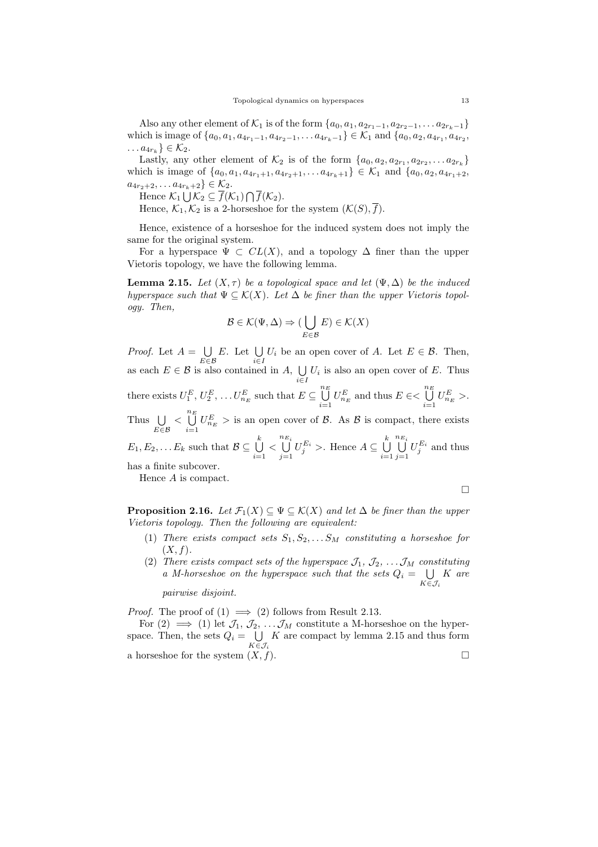Also any other element of  $\mathcal{K}_1$  is of the form  $\{a_0, a_1, a_{2r_1-1}, a_{2r_2-1}, \ldots a_{2r_k-1}\}$ which is image of  $\{a_0, a_1, a_{4r_1-1}, a_{4r_2-1}, \ldots, a_{4r_k-1}\} \in \mathcal{K}_1$  and  $\{a_0, a_2, a_{4r_1}, a_{4r_2},$  $\dots a_{4r_k} \} \in \mathcal{K}_2.$ 

Lastly, any other element of  $\mathcal{K}_2$  is of the form  $\{a_0, a_2, a_{2r_1}, a_{2r_2}, \ldots a_{2r_k}\}\$ which is image of  $\{a_0, a_1, a_{4r_1+1}, a_{4r_2+1}, \ldots, a_{4r_k+1}\} \in \mathcal{K}_1$  and  $\{a_0, a_2, a_{4r_1+2},$  $a_{4r_2+2}, \ldots a_{4r_k+2} \in \mathcal{K}_2.$ 

Hence  $\mathcal{K}_1 \bigcup \mathcal{K}_2 \subseteq f(\mathcal{K}_1) \bigcap f(\mathcal{K}_2)$ .

Hence,  $\mathcal{K}_1, \mathcal{K}_2$  is a 2-horseshoe for the system  $(\mathcal{K}(S), \overline{f}).$ 

Hence, existence of a horseshoe for the induced system does not imply the same for the original system.

For a hyperspace  $\Psi \subset CL(X)$ , and a topology  $\Delta$  finer than the upper Vietoris topology, we have the following lemma.

**Lemma 2.15.** Let  $(X, \tau)$  be a topological space and let  $(\Psi, \Delta)$  be the induced hyperspace such that  $\Psi \subseteq \mathcal{K}(X)$ . Let  $\Delta$  be finer than the upper Vietoris topology. Then,

$$
\mathcal{B}\in\mathcal{K}(\Psi,\Delta)\Rightarrow(\bigcup_{E\in\mathcal{B}}E)\in\mathcal{K}(X)
$$

*Proof.* Let  $A = \bigcup$ E∈B  $E.$  Let  $\bigcup$  $\bigcup_{i\in I} U_i$  be an open cover of A. Let  $E \in \mathcal{B}$ . Then, as each  $E \in \mathcal{B}$  is also contained in A,  $\bigcup$  $\bigcup_{i\in I} U_i$  is also an open cover of E. Thus there exists  $U_1^E, U_2^E, \ldots U_{n_E}^E$  such that  $E \subseteq \bigcup^{n_E}$  $\bigcup\limits_{i=1}^{n_E} U^E_{n_E}$  and thus  $E \in < \bigcup\limits_{i=1}^{n_E}$  $\bigcup_{i=1}^{\infty} U_{n_E}^E >.$ Thus  $\bigcup$ E∈B  $\langle \bigcup_{n=1}^{n}$  $\bigcup_{i=1}^{\infty} U_{n_E}^E >$  is an open cover of B. As B is compact, there exists  $E_1, E_2, \ldots E_k$  such that  $\mathcal{B} \subseteq \bigcup^k$  $\bigcup\limits_{i=1}$  <  $\bigcup^{n_{E_i}}$  $\bigcup_{j=1}^{n_{E_i}} U_j^{E_i}$  >. Hence  $A \subseteq \bigcup_{i=1}^{k}$  $i=1$  $\bigcup^{n_{E_i}}$  $\bigcup_{j=1}^{\infty} U_j^{E_i}$  and thus has a finite subcover. Hence A is compact.

 $\Box$ 

**Proposition 2.16.** Let  $\mathcal{F}_1(X) \subseteq \Psi \subseteq \mathcal{K}(X)$  and let  $\Delta$  be finer than the upper Vietoris topology. Then the following are equivalent:

- (1) There exists compact sets  $S_1, S_2, \ldots S_M$  constituting a horseshoe for  $(X, f)$ .
- (2) There exists compact sets of the hyperspace  $\mathcal{J}_1, \mathcal{J}_2, \ldots, \mathcal{J}_M$  constituting a M-horseshoe on the hyperspace such that the sets  $Q_i = \bigcup$  $K\!\in\!\mathcal{J}_i$ K are

pairwise disjoint.

*Proof.* The proof of  $(1) \implies (2)$  follows from Result 2.13.

For  $(2) \implies (1)$  let  $\mathcal{J}_1, \mathcal{J}_2, \ldots, \mathcal{J}_M$  constitute a M-horseshoe on the hyperspace. Then, the sets  $Q_i = \bigcup$  $K{\in}\mathcal{J}_i$ K are compact by lemma 2.15 and thus form a horseshoe for the system  $(X, f)$ .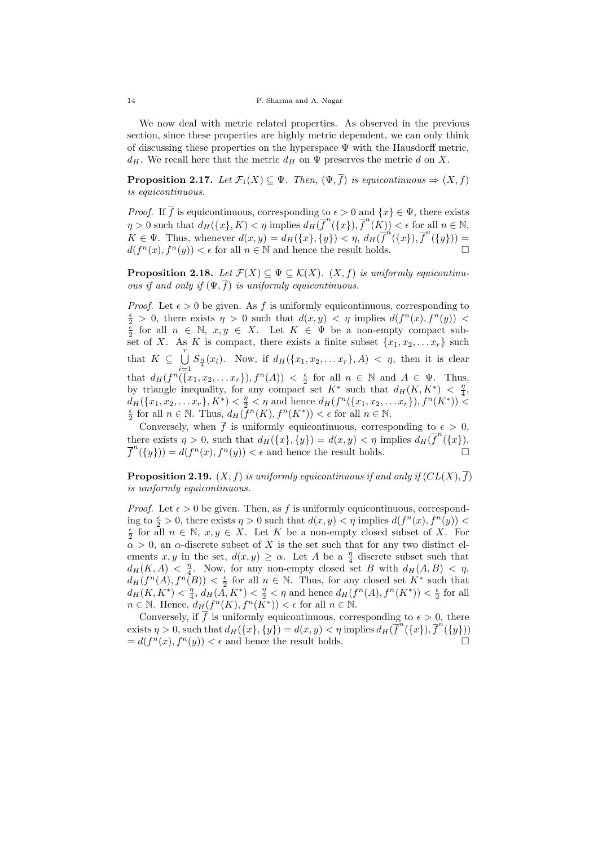We now deal with metric related properties. As observed in the previous section, since these properties are highly metric dependent, we can only think of discussing these properties on the hyperspace Ψ with the Hausdorff metric,  $d_H$ . We recall here that the metric  $d_H$  on  $\Psi$  preserves the metric d on X.

**Proposition 2.17.** Let  $\mathcal{F}_1(X) \subseteq \Psi$ . Then,  $(\Psi, \overline{f})$  is equicontinuous  $\Rightarrow (X, f)$ is equicontinuous.

*Proof.* If  $\overline{f}$  is equicontinuous, corresponding to  $\epsilon > 0$  and  $\{x\} \in \Psi$ , there exists  $\eta > 0$  such that  $d_H(\lbrace x \rbrace, K) < \eta$  implies  $d_H(\overline{f}^n(\lbrace x \rbrace), \overline{f}^n(K)) < \epsilon$  for all  $n \in \mathbb{N}$ ,  $K \in \Psi$ . Thus, whenever  $d(x, y) = d_H(\lbrace x \rbrace, \lbrace y \rbrace) < \eta$ ,  $d_H(\overline{f}^n(\lbrace x \rbrace), \overline{f}^n(\lbrace y \rbrace)) =$  $d(f^{n}(x), f^{n}(y)) < \epsilon$  for all  $n \in \mathbb{N}$  and hence the result holds.

**Proposition 2.18.** Let  $\mathcal{F}(X) \subseteq \Psi \subseteq \mathcal{K}(X)$ .  $(X, f)$  is uniformly equicontinuous if and only if  $(\Psi, \overline{f})$  is uniformly equicontinuous.

*Proof.* Let  $\epsilon > 0$  be given. As f is uniformly equicontinuous, corresponding to  $\frac{\epsilon}{2}$  > 0, there exists  $\eta > 0$  such that  $d(x, y) < \eta$  implies  $d(f^n(x), f^n(y))$  $\frac{\epsilon}{2}$  for all  $n \in \mathbb{N}$ ,  $x, y \in X$ . Let  $K \in \Psi$  be a non-empty compact subset of X. As K is compact, there exists a finite subset  $\{x_1, x_2, \ldots x_r\}$  such that  $K \subseteq \bigcup^{r}$  $\bigcup_{i=1} S_{\frac{\eta}{4}}(x_i)$ . Now, if  $d_H(\{x_1, x_2, \ldots x_r\}, A) < \eta$ , then it is clear that  $d_H(f^n(\{x_1, x_2, \ldots x_r\}), f^n(A)) < \frac{\epsilon}{2}$  for all  $n \in \mathbb{N}$  and  $A \in \Psi$ . Thus, by triangle inequality, for any compact set  $K^*$  such that  $d_H(K, K^*) < \frac{\eta}{4}$ ,  $d_H({x_1, x_2, \ldots x_r}, K^*) < \frac{\eta}{2} < \eta$  and hence  $d_H(f^n({x_1, x_2, \ldots x_r}), f^n(K^*))$  $\frac{\epsilon}{2}$  for all  $n \in \mathbb{N}$ . Thus,  $d_H(\overline{f}^n(K), f^n(K^*)) < \epsilon$  for all  $n \in \mathbb{N}$ .

Conversely, when  $\overline{f}$  is uniformly equicontinuous, corresponding to  $\epsilon > 0$ , there exists  $\eta > 0$ , such that  $d_H(\lbrace x \rbrace, \lbrace y \rbrace) = d(x, y) < \eta$  implies  $d_H(\overline{f}^n(\lbrace x \rbrace)),$  $\overline{f}^n(\{y\}) = d(f^n(x), f^n(y)) < \epsilon$  and hence the result holds.

**Proposition 2.19.**  $(X, f)$  is uniformly equicontinuous if and only if  $(CL(X), \overline{f})$ is uniformly equicontinuous.

*Proof.* Let  $\epsilon > 0$  be given. Then, as f is uniformly equicontinuous, corresponding to  $\frac{\epsilon}{2} > 0$ , there exists  $\eta > 0$  such that  $d(x, y) < \eta$  implies  $d(f^n(x), f^n(y)) <$  $\frac{\epsilon}{2}$  for all  $n \in \mathbb{N}$ ,  $x, y \in X$ . Let K be a non-empty closed subset of X. For  $\alpha > 0$ , an  $\alpha$ -discrete subset of X is the set such that for any two distinct elements x, y in the set,  $d(x, y) \ge \alpha$ . Let A be a  $\frac{\eta}{4}$  discrete subset such that  $d_H(K, A) < \frac{n}{4}$ . Now, for any non-empty closed set B with  $d_H(A, B) < \eta$ ,  $d_H(f^n(A), f^n(B)) < \frac{\epsilon}{2}$  for all  $n \in \mathbb{N}$ . Thus, for any closed set  $K^*$  such that  $d_H(K, K^*) < \frac{\eta}{4}$ ,  $d_H(A, K^*) < \frac{\eta}{2} < \eta$  and hence  $d_H(f^n(A), f^n(K^*)) < \frac{\epsilon}{2}$  for all  $n \in \mathbb{N}$ . Hence,  $d_H(f^n(K), f^n(\overline{K}^*)) < \epsilon$  for all  $n \in \mathbb{N}$ .

Conversely, if  $\overline{f}$  is uniformly equicontinuous, corresponding to  $\epsilon > 0$ , there exists  $\eta > 0$ , such that  $d_H(\lbrace x \rbrace, \lbrace y \rbrace) = d(x, y) < \eta$  implies  $d_H(\overline{f}^n(\lbrace x \rbrace), \overline{f}^n(\lbrace y \rbrace))$  $= d(f^{n}(x), f^{n}(y)) < \epsilon$  and hence the result holds.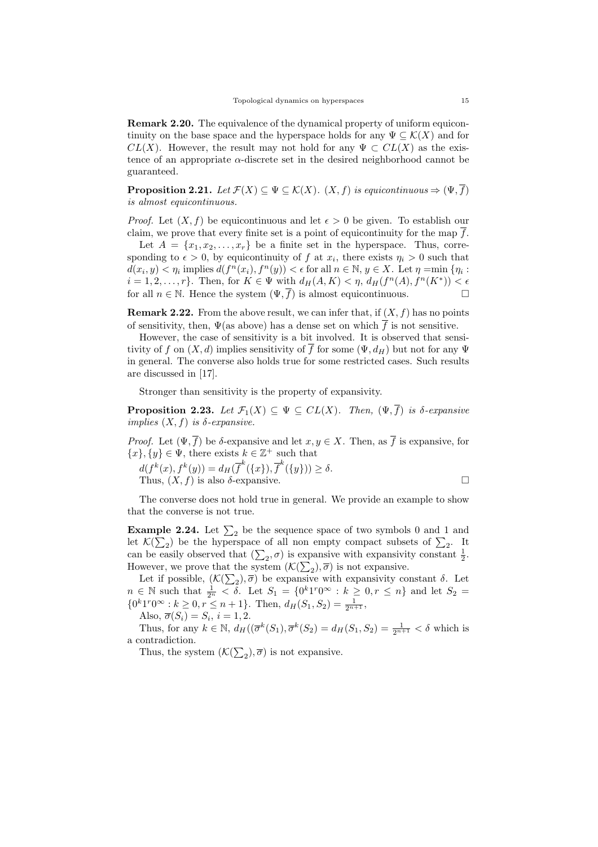Remark 2.20. The equivalence of the dynamical property of uniform equicontinuity on the base space and the hyperspace holds for any  $\Psi \subset \mathcal{K}(X)$  and for  $CL(X)$ . However, the result may not hold for any  $\Psi \subset CL(X)$  as the existence of an appropriate  $\alpha$ -discrete set in the desired neighborhood cannot be guaranteed.

**Proposition 2.21.** Let  $\mathcal{F}(X) \subseteq \Psi \subseteq \mathcal{K}(X)$ .  $(X, f)$  is equicontinuous  $\Rightarrow (\Psi, \overline{f})$ is almost equicontinuous.

*Proof.* Let  $(X, f)$  be equicontinuous and let  $\epsilon > 0$  be given. To establish our claim, we prove that every finite set is a point of equicontinuity for the map  $\overline{f}$ .

Let  $A = \{x_1, x_2, \ldots, x_r\}$  be a finite set in the hyperspace. Thus, corresponding to  $\epsilon > 0$ , by equicontinuity of f at  $x_i$ , there exists  $\eta_i > 0$  such that  $d(x_i, y) < \eta_i$  implies  $d(f^n(x_i), f^n(y)) < \epsilon$  for all  $n \in \mathbb{N}, y \in X$ . Let  $\eta = \min \{\eta_i :$  $i = 1, 2, \ldots, r$ . Then, for  $K \in \Psi$  with  $d_H(A, K) < \eta$ ,  $d_H(f^n(A), f^n(K^*)) < \epsilon$ for all  $n \in \mathbb{N}$ . Hence the system  $(\Psi, \overline{f})$  is almost equicontinuous.

**Remark 2.22.** From the above result, we can infer that, if  $(X, f)$  has no points of sensitivity, then,  $\Psi$ (as above) has a dense set on which  $\overline{f}$  is not sensitive.

However, the case of sensitivity is a bit involved. It is observed that sensitivity of f on  $(X, d)$  implies sensitivity of f for some  $(\Psi, d_H)$  but not for any  $\Psi$ in general. The converse also holds true for some restricted cases. Such results are discussed in [17].

Stronger than sensitivity is the property of expansivity.

**Proposition 2.23.** Let  $\mathcal{F}_1(X) \subseteq \Psi \subseteq CL(X)$ . Then,  $(\Psi, \overline{f})$  is  $\delta$ -expansive implies  $(X, f)$  is  $\delta$ -expansive.

*Proof.* Let  $(\Psi, \overline{f})$  be  $\delta$ -expansive and let  $x, y \in X$ . Then, as  $\overline{f}$  is expansive, for  $\{x\}, \{y\} \in \Psi$ , there exists  $k \in \mathbb{Z}^+$  such that

$$
d(f^{k}(x), f^{k}(y)) = d_{H}(\overline{f}^{k}(\lbrace x \rbrace), \overline{f}^{k}(\lbrace y \rbrace)) \ge \delta.
$$
  
Thus,  $(X, f)$  is also  $\delta$ -expansive.

The converse does not hold true in general. We provide an example to show that the converse is not true.

**Example 2.24.** Let  $\Sigma_2$  be the sequence space of two symbols 0 and 1 and let  $\mathcal{K}(\sum_2)$  be the hyperspace of all non empty compact subsets of  $\sum_2$ . It can be easily observed that  $(\sum_2, \sigma)$  is expansive with expansivity constant  $\frac{1}{2}$ . However, we prove that the system  $(\mathcal{K}(\sum_2), \overline{\sigma})$  is not expansive.

Let if possible,  $(K(\sum_2), \overline{\sigma})$  be expansive with expansivity constant  $\delta$ . Let  $n \in \mathbb{N}$  such that  $\frac{1}{2^n} < \delta$ . Let  $S_1 = \{0^k 1^r 0^\infty : k \geq 0, r \leq n\}$  and let  $S_2 =$  ${0^k1^r0^{\infty}: k \geq 0, r \leq n+1}.$  Then,  $d_H(S_1, S_2) = \frac{1}{2^{n+1}}$ ,

Also,  $\overline{\sigma}(S_i) = S_i$ ,  $i = 1, 2$ .

Thus, for any  $k \in \mathbb{N}$ ,  $d_H((\overline{\sigma}^k(S_1), \overline{\sigma}^k(S_2) = d_H(S_1, S_2) = \frac{1}{2^{n+1}} < \delta$  which is a contradiction.

Thus, the system  $(\mathcal{K}(\sum_2), \overline{\sigma})$  is not expansive.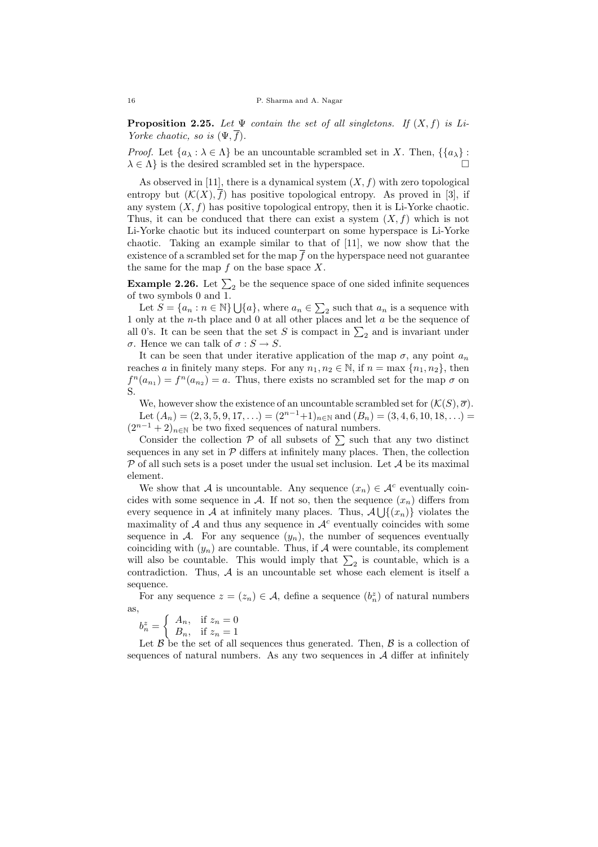**Proposition 2.25.** Let  $\Psi$  contain the set of all singletons. If  $(X, f)$  is Li-Yorke chaotic, so is  $(\Psi, f)$ .

*Proof.* Let  $\{a_\lambda : \lambda \in \Lambda\}$  be an uncountable scrambled set in X. Then,  $\{\{a_\lambda\} :$  $\lambda \in \Lambda$  is the desired scrambled set in the hyperspace.

As observed in [11], there is a dynamical system  $(X, f)$  with zero topological entropy but  $(\mathcal{K}(X), \overline{f})$  has positive topological entropy. As proved in [3], if any system  $(X, f)$  has positive topological entropy, then it is Li-Yorke chaotic. Thus, it can be conduced that there can exist a system  $(X, f)$  which is not Li-Yorke chaotic but its induced counterpart on some hyperspace is Li-Yorke chaotic. Taking an example similar to that of [11], we now show that the existence of a scrambled set for the map  $\overline{f}$  on the hyperspace need not guarantee the same for the map  $f$  on the base space  $X$ .

**Example 2.26.** Let  $\Sigma_2$  be the sequence space of one sided infinite sequences of two symbols 0 and 1.

Let  $S = \{a_n : n \in \mathbb{N}\}\bigcup \{a\}$ , where  $a_n \in \sum_2$  such that  $a_n$  is a sequence with 1 only at the n-th place and 0 at all other places and let a be the sequence of all 0's. It can be seen that the set S is compact in  $\Sigma_2$  and is invariant under σ. Hence we can talk of σ : S → S.

It can be seen that under iterative application of the map  $\sigma$ , any point  $a_n$ reaches a in finitely many steps. For any  $n_1, n_2 \in \mathbb{N}$ , if  $n = \max \{n_1, n_2\}$ , then  $f^{n}(a_{n_1}) = f^{n}(a_{n_2}) = a$ . Thus, there exists no scrambled set for the map  $\sigma$  on S.

We, however show the existence of an uncountable scrambled set for  $(\mathcal{K}(S), \overline{\sigma})$ . Let  $(A_n) = (2, 3, 5, 9, 17, ...) = (2^{n-1}+1)_{n \in \mathbb{N}}$  and  $(B_n) = (3, 4, 6, 10, 18, ...)$  $(2^{n-1} + 2)_{n \in \mathbb{N}}$  be two fixed sequences of natural numbers.

Consider the collection  $P$  of all subsets of  $\sum$  such that any two distinct sequences in any set in  $P$  differs at infinitely many places. Then, the collection  $P$  of all such sets is a poset under the usual set inclusion. Let  $A$  be its maximal element.

We show that A is uncountable. Any sequence  $(x_n) \in \mathcal{A}^c$  eventually coincides with some sequence in A. If not so, then the sequence  $(x_n)$  differs from every sequence in A at infinitely many places. Thus,  $\mathcal{A}\bigcup \{(x_n)\}\$  violates the maximality of  $A$  and thus any sequence in  $A<sup>c</sup>$  eventually coincides with some sequence in A. For any sequence  $(y_n)$ , the number of sequences eventually coinciding with  $(y_n)$  are countable. Thus, if A were countable, its complement will also be countable. This would imply that  $\Sigma_2$  is countable, which is a contradiction. Thus,  $A$  is an uncountable set whose each element is itself a sequence.

For any sequence  $z = (z_n) \in \mathcal{A}$ , define a sequence  $(b_n^z)$  of natural numbers as,

$$
b_n^z = \begin{cases} A_n, & \text{if } z_n = 0\\ B_n, & \text{if } z_n = 1 \end{cases}
$$

Let  $\beta$  be the set of all sequences thus generated. Then,  $\beta$  is a collection of sequences of natural numbers. As any two sequences in  $A$  differ at infinitely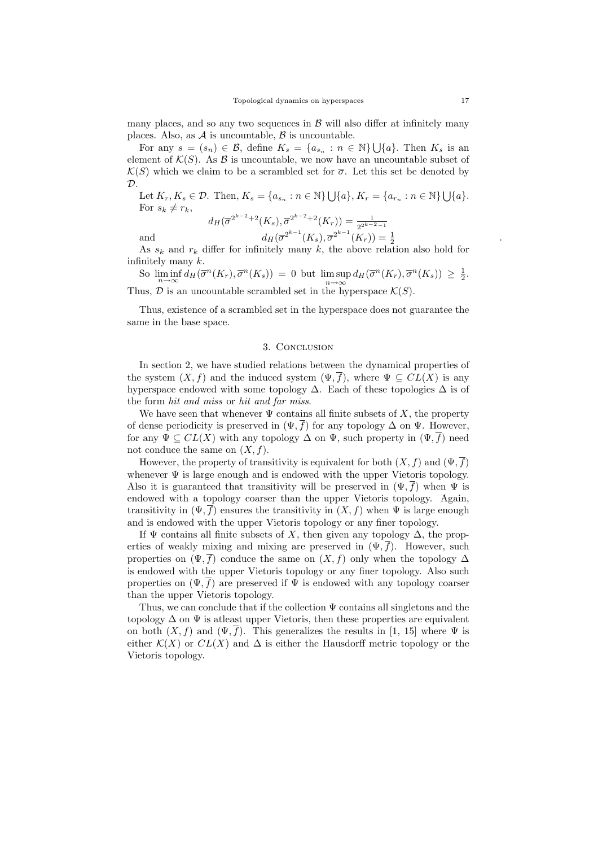many places, and so any two sequences in  $\beta$  will also differ at infinitely many places. Also, as  $A$  is uncountable,  $B$  is uncountable.

For any  $s = (s_n) \in \mathcal{B}$ , define  $K_s = \{a_{s_n} : n \in \mathbb{N}\}\bigcup\{a\}$ . Then  $K_s$  is an element of  $\mathcal{K}(S)$ . As  $\mathcal{B}$  is uncountable, we now have an uncountable subset of  $\mathcal{K}(S)$  which we claim to be a scrambled set for  $\overline{\sigma}$ . Let this set be denoted by  $\mathcal{D}$ .

Let  $K_r, K_s \in \mathcal{D}$ . Then,  $K_s = \{a_{s_n} : n \in \mathbb{N}\} \bigcup \{a\}, K_r = \{a_{r_n} : n \in \mathbb{N}\} \bigcup \{a\}.$ For  $s_k \neq r_k$ ,

$$
d_H(\overline{\sigma}^{2^{k-2}+2}(K_s), \overline{\sigma}^{2^{k-2}+2}(K_r)) = \frac{1}{2^{2^{k-2}-1}}
$$
  
and  

$$
d_H(\overline{\sigma}^{2^{k-1}}(K_s), \overline{\sigma}^{2^{k-1}}(K_r)) = \frac{1}{2}
$$

As 
$$
s_k
$$
 and  $r_k$  differ for infinitely many  $k$ , the above relation also hold for infinitely many  $k$ .

So  $\liminf_{n\to\infty} d_H(\overline{\sigma}^n(K_r), \overline{\sigma}^n(K_s)) = 0$  but  $\limsup_{n\to\infty} d_H(\overline{\sigma}^n(K_r), \overline{\sigma}^n(K_s)) \geq \frac{1}{2}$ . Thus,  $\mathcal D$  is an uncountable scrambled set in the hyperspace  $\mathcal K(S)$ .

Thus, existence of a scrambled set in the hyperspace does not guarantee the same in the base space.

#### 3. Conclusion

In section 2, we have studied relations between the dynamical properties of the system  $(X, f)$  and the induced system  $(\Psi, \overline{f})$ , where  $\Psi \subseteq CL(X)$  is any hyperspace endowed with some topology  $\Delta$ . Each of these topologies  $\Delta$  is of the form hit and miss or hit and far miss.

We have seen that whenever  $\Psi$  contains all finite subsets of X, the property of dense periodicity is preserved in  $(\Psi, \overline{f})$  for any topology  $\Delta$  on  $\Psi$ . However, for any  $\Psi \subseteq CL(X)$  with any topology  $\Delta$  on  $\Psi$ , such property in  $(\Psi, \overline{f})$  need not conduce the same on  $(X, f)$ .

However, the property of transitivity is equivalent for both  $(X, f)$  and  $(\Psi, \overline{f})$ whenever  $\Psi$  is large enough and is endowed with the upper Vietoris topology. Also it is guaranteed that transitivity will be preserved in  $(\Psi, \overline{f})$  when  $\Psi$  is endowed with a topology coarser than the upper Vietoris topology. Again, transitivity in  $(\Psi, \overline{f})$  ensures the transitivity in  $(X, f)$  when  $\Psi$  is large enough and is endowed with the upper Vietoris topology or any finer topology.

If  $\Psi$  contains all finite subsets of X, then given any topology  $\Delta$ , the properties of weakly mixing and mixing are preserved in  $(\Psi, \overline{f})$ . However, such properties on  $(\Psi, \overline{f})$  conduce the same on  $(X, f)$  only when the topology  $\Delta$ is endowed with the upper Vietoris topology or any finer topology. Also such properties on  $(\Psi, f)$  are preserved if  $\Psi$  is endowed with any topology coarser than the upper Vietoris topology.

Thus, we can conclude that if the collection  $\Psi$  contains all singletons and the topology  $\Delta$  on  $\Psi$  is at least upper Vietoris, then these properties are equivalent on both  $(X, f)$  and  $(\Psi, \overline{f})$ . This generalizes the results in [1, 15] where  $\Psi$  is either  $\mathcal{K}(X)$  or  $CL(X)$  and  $\Delta$  is either the Hausdorff metric topology or the Vietoris topology.

.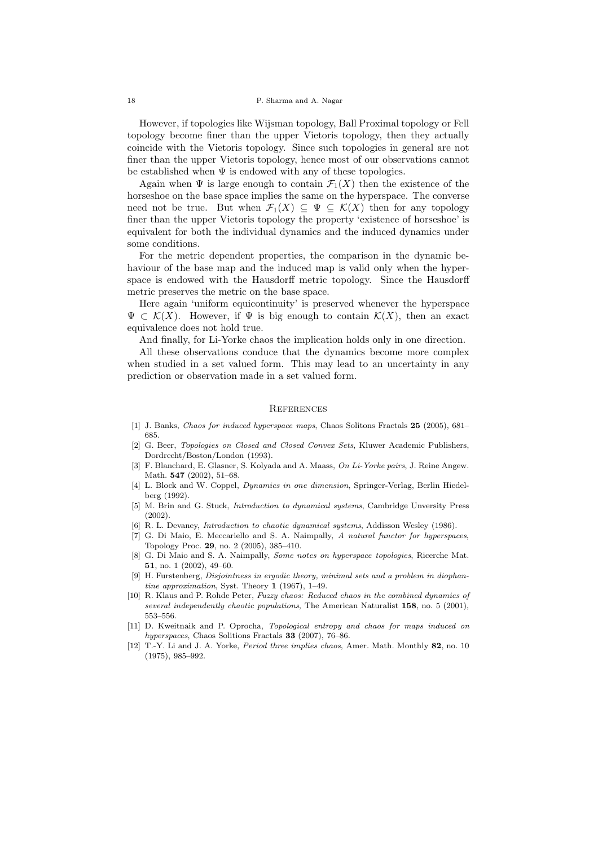However, if topologies like Wijsman topology, Ball Proximal topology or Fell topology become finer than the upper Vietoris topology, then they actually coincide with the Vietoris topology. Since such topologies in general are not finer than the upper Vietoris topology, hence most of our observations cannot be established when  $\Psi$  is endowed with any of these topologies.

Again when  $\Psi$  is large enough to contain  $\mathcal{F}_1(X)$  then the existence of the horseshoe on the base space implies the same on the hyperspace. The converse need not be true. But when  $\mathcal{F}_1(X) \subseteq \Psi \subseteq \mathcal{K}(X)$  then for any topology finer than the upper Vietoris topology the property 'existence of horseshoe' is equivalent for both the individual dynamics and the induced dynamics under some conditions.

For the metric dependent properties, the comparison in the dynamic behaviour of the base map and the induced map is valid only when the hyperspace is endowed with the Hausdorff metric topology. Since the Hausdorff metric preserves the metric on the base space.

Here again 'uniform equicontinuity' is preserved whenever the hyperspace  $\Psi \subset \mathcal{K}(X)$ . However, if  $\Psi$  is big enough to contain  $\mathcal{K}(X)$ , then an exact equivalence does not hold true.

And finally, for Li-Yorke chaos the implication holds only in one direction.

All these observations conduce that the dynamics become more complex when studied in a set valued form. This may lead to an uncertainty in any prediction or observation made in a set valued form.

#### **REFERENCES**

- [1] J. Banks, *Chaos for induced hyperspace maps*, Chaos Solitons Fractals 25 (2005), 681– 685.
- [2] G. Beer, Topologies on Closed and Closed Convex Sets, Kluwer Academic Publishers, Dordrecht/Boston/London (1993).
- [3] F. Blanchard, E. Glasner, S. Kolyada and A. Maass, On Li-Yorke pairs, J. Reine Angew. Math. 547 (2002), 51–68.
- [4] L. Block and W. Coppel, *Dynamics in one dimension*, Springer-Verlag, Berlin Hiedelberg (1992).
- [5] M. Brin and G. Stuck, Introduction to dynamical systems, Cambridge Unversity Press (2002).
- [6] R. L. Devaney, Introduction to chaotic dynamical systems, Addisson Wesley (1986).
- G. Di Maio, E. Meccariello and S. A. Naimpally, A natural functor for hyperspaces, Topology Proc. 29, no. 2 (2005), 385–410.
- [8] G. Di Maio and S. A. Naimpally, Some notes on hyperspace topologies, Ricerche Mat. 51, no. 1 (2002), 49–60.
- [9] H. Furstenberg, Disjointness in ergodic theory, minimal sets and a problem in diophantine approximation, Syst. Theory 1 (1967), 1–49.
- [10] R. Klaus and P. Rohde Peter, Fuzzy chaos: Reduced chaos in the combined dynamics of several independently chaotic populations, The American Naturalist 158, no. 5 (2001), 553–556.
- [11] D. Kweitnaik and P. Oprocha, Topological entropy and chaos for maps induced on hyperspaces, Chaos Solitions Fractals 33 (2007), 76–86.
- [12] T.-Y. Li and J. A. Yorke, Period three implies chaos, Amer. Math. Monthly 82, no. 10 (1975), 985–992.